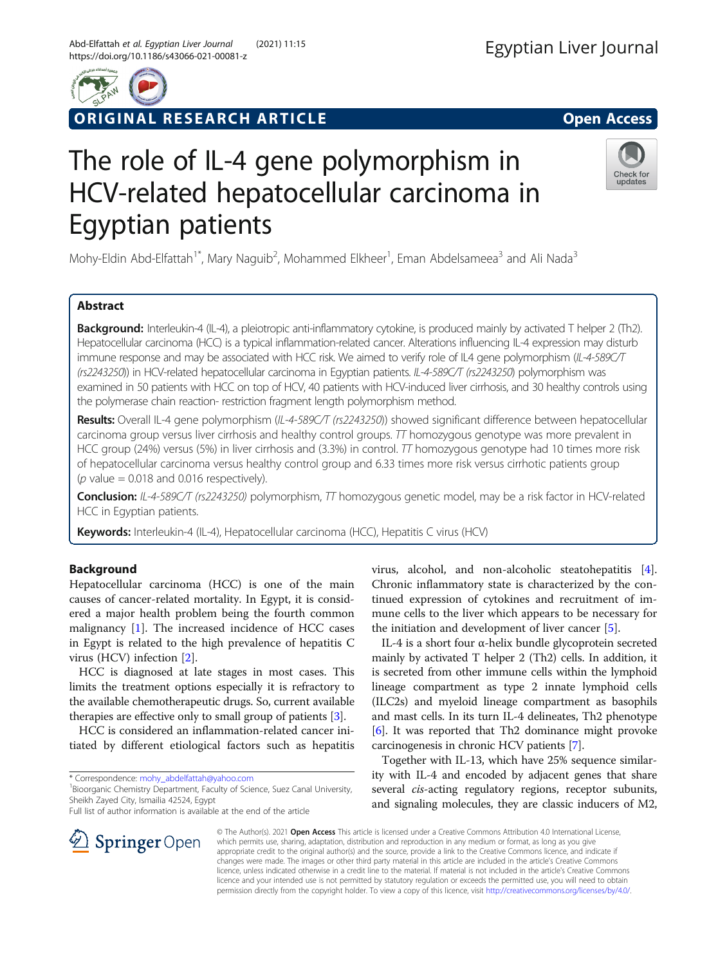

ORIGINAL RESEARCH ARTICLE **External of the Second Access** 

# The role of IL-4 gene polymorphism in HCV-related hepatocellular carcinoma in Egyptian patients

Mohy-Eldin Abd-Elfattah<sup>1\*</sup>, Mary Naguib<sup>2</sup>, Mohammed Elkheer<sup>1</sup>, Eman Abdelsameea<sup>3</sup> and Ali Nada<sup>3</sup>

# Abstract

Background: Interleukin-4 (IL-4), a pleiotropic anti-inflammatory cytokine, is produced mainly by activated T helper 2 (Th2). Hepatocellular carcinoma (HCC) is a typical inflammation-related cancer. Alterations influencing IL-4 expression may disturb immune response and may be associated with HCC risk. We aimed to verify role of IL4 gene polymorphism (IL-4-589C/T (rs2243250)) in HCV-related hepatocellular carcinoma in Egyptian patients. IL-4-589C/T (rs2243250) polymorphism was examined in 50 patients with HCC on top of HCV, 40 patients with HCV-induced liver cirrhosis, and 30 healthy controls using the polymerase chain reaction- restriction fragment length polymorphism method.

Results: Overall IL-4 gene polymorphism (IL-4-589C/T (rs2243250)) showed significant difference between hepatocellular carcinoma group versus liver cirrhosis and healthy control groups.  $T$  homozygous genotype was more prevalent in HCC group (24%) versus (5%) in liver cirrhosis and (3.3%) in control.  $TT$  homozygous genotype had 10 times more risk of hepatocellular carcinoma versus healthy control group and 6.33 times more risk versus cirrhotic patients group ( $p$  value = 0.018 and 0.016 respectively).

Conclusion: IL-4-589C/T (rs2243250) polymorphism, TT homozygous genetic model, may be a risk factor in HCV-related HCC in Egyptian patients.

Keywords: Interleukin-4 (IL-4), Hepatocellular carcinoma (HCC), Hepatitis C virus (HCV)

## Background

Hepatocellular carcinoma (HCC) is one of the main causes of cancer-related mortality. In Egypt, it is considered a major health problem being the fourth common malignancy [[1\]](#page-5-0). The increased incidence of HCC cases in Egypt is related to the high prevalence of hepatitis C virus (HCV) infection [[2\]](#page-5-0).

HCC is diagnosed at late stages in most cases. This limits the treatment options especially it is refractory to the available chemotherapeutic drugs. So, current available therapies are effective only to small group of patients [[3](#page-5-0)].

HCC is considered an inflammation-related cancer initiated by different etiological factors such as hepatitis

\* Correspondence: [mohy\\_abdelfattah@yahoo.com](mailto:mohy_abdelfattah@yahoo.com) <sup>1</sup>

<sup>1</sup> Bioorganic Chemistry Department, Faculty of Science, Suez Canal University, Sheikh Zayed City, Ismailia 42524, Egypt

Full list of author information is available at the end of the article

virus, alcohol, and non-alcoholic steatohepatitis [\[4](#page-5-0)]. Chronic inflammatory state is characterized by the continued expression of cytokines and recruitment of immune cells to the liver which appears to be necessary for the initiation and development of liver cancer [\[5](#page-5-0)].

IL-4 is a short four α-helix bundle glycoprotein secreted mainly by activated T helper 2 (Th2) cells. In addition, it is secreted from other immune cells within the lymphoid lineage compartment as type 2 innate lymphoid cells (ILC2s) and myeloid lineage compartment as basophils and mast cells. In its turn IL-4 delineates, Th2 phenotype [[6\]](#page-5-0). It was reported that Th2 dominance might provoke carcinogenesis in chronic HCV patients [[7\]](#page-5-0).

Together with IL-13, which have 25% sequence similarity with IL-4 and encoded by adjacent genes that share several *cis-acting* regulatory regions, receptor subunits, and signaling molecules, they are classic inducers of M2,

© The Author(s). 2021 Open Access This article is licensed under a Creative Commons Attribution 4.0 International License, which permits use, sharing, adaptation, distribution and reproduction in any medium or format, as long as you give appropriate credit to the original author(s) and the source, provide a link to the Creative Commons licence, and indicate if changes were made. The images or other third party material in this article are included in the article's Creative Commons licence, unless indicated otherwise in a credit line to the material. If material is not included in the article's Creative Commons licence and your intended use is not permitted by statutory regulation or exceeds the permitted use, you will need to obtain permission directly from the copyright holder. To view a copy of this licence, visit <http://creativecommons.org/licenses/by/4.0/>.



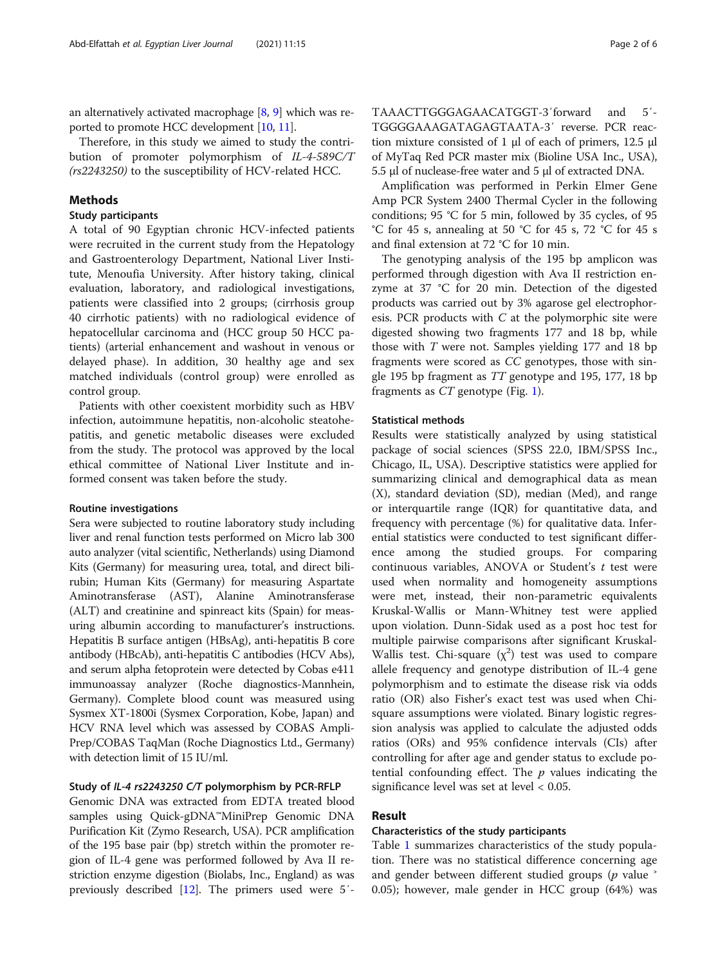an alternatively activated macrophage [[8,](#page-5-0) [9](#page-5-0)] which was reported to promote HCC development [[10](#page-5-0), [11\]](#page-5-0).

Therefore, in this study we aimed to study the contribution of promoter polymorphism of IL-4-589C/T (rs2243250) to the susceptibility of HCV-related HCC.

## Methods

## Study participants

A total of 90 Egyptian chronic HCV-infected patients were recruited in the current study from the Hepatology and Gastroenterology Department, National Liver Institute, Menoufia University. After history taking, clinical evaluation, laboratory, and radiological investigations, patients were classified into 2 groups; (cirrhosis group 40 cirrhotic patients) with no radiological evidence of hepatocellular carcinoma and (HCC group 50 HCC patients) (arterial enhancement and washout in venous or delayed phase). In addition, 30 healthy age and sex matched individuals (control group) were enrolled as control group.

Patients with other coexistent morbidity such as HBV infection, autoimmune hepatitis, non-alcoholic steatohepatitis, and genetic metabolic diseases were excluded from the study. The protocol was approved by the local ethical committee of National Liver Institute and informed consent was taken before the study.

## Routine investigations

Sera were subjected to routine laboratory study including liver and renal function tests performed on Micro lab 300 auto analyzer (vital scientific, Netherlands) using Diamond Kits (Germany) for measuring urea, total, and direct bilirubin; Human Kits (Germany) for measuring Aspartate Aminotransferase (AST), Alanine Aminotransferase (ALT) and creatinine and spinreact kits (Spain) for measuring albumin according to manufacturer's instructions. Hepatitis B surface antigen (HBsAg), anti-hepatitis B core antibody (HBcAb), anti-hepatitis C antibodies (HCV Abs), and serum alpha fetoprotein were detected by Cobas e411 immunoassay analyzer (Roche diagnostics-Mannhein, Germany). Complete blood count was measured using Sysmex XT-1800i (Sysmex Corporation, Kobe, Japan) and HCV RNA level which was assessed by COBAS Ampli-Prep/COBAS TaqMan (Roche Diagnostics Ltd., Germany) with detection limit of 15 IU/ml.

## Study of IL-4 rs2243250 C/T polymorphism by PCR-RFLP

Genomic DNA was extracted from EDTA treated blood samples using Quick-gDNA™MiniPrep Genomic DNA Purification Kit (Zymo Research, USA). PCR amplification of the 195 base pair (bp) stretch within the promoter region of IL-4 gene was performed followed by Ava II restriction enzyme digestion (Biolabs, Inc., England) as was previously described [\[12\]](#page-5-0). The primers used were 5′- TAAACTTGGGAGAACATGGT-3′forward and 5′- TGGGGAAAGATAGAGTAATA-3′ reverse. PCR reaction mixture consisted of 1 μl of each of primers, 12.5 μl of MyTaq Red PCR master mix (Bioline USA Inc., USA), 5.5 μl of nuclease-free water and 5 μl of extracted DNA.

Amplification was performed in Perkin Elmer Gene Amp PCR System 2400 Thermal Cycler in the following conditions; 95 °C for 5 min, followed by 35 cycles, of 95 °C for 45 s, annealing at 50 °C for 45 s, 72 °C for 45 s and final extension at 72 °C for 10 min.

The genotyping analysis of the 195 bp amplicon was performed through digestion with Ava II restriction enzyme at 37 °C for 20 min. Detection of the digested products was carried out by 3% agarose gel electrophoresis. PCR products with  $C$  at the polymorphic site were digested showing two fragments 177 and 18 bp, while those with T were not. Samples yielding 177 and 18 bp fragments were scored as CC genotypes, those with single 195 bp fragment as TT genotype and 195, 177, 18 bp fragments as CT genotype (Fig. [1](#page-2-0)).

## Statistical methods

Results were statistically analyzed by using statistical package of social sciences (SPSS 22.0, IBM/SPSS Inc., Chicago, IL, USA). Descriptive statistics were applied for summarizing clinical and demographical data as mean (X), standard deviation (SD), median (Med), and range or interquartile range (IQR) for quantitative data, and frequency with percentage (%) for qualitative data. Inferential statistics were conducted to test significant difference among the studied groups. For comparing continuous variables, ANOVA or Student's  $t$  test were used when normality and homogeneity assumptions were met, instead, their non-parametric equivalents Kruskal-Wallis or Mann-Whitney test were applied upon violation. Dunn-Sidak used as a post hoc test for multiple pairwise comparisons after significant Kruskal-Wallis test. Chi-square  $(\chi^2)$  test was used to compare allele frequency and genotype distribution of IL-4 gene polymorphism and to estimate the disease risk via odds ratio (OR) also Fisher's exact test was used when Chisquare assumptions were violated. Binary logistic regression analysis was applied to calculate the adjusted odds ratios (ORs) and 95% confidence intervals (CIs) after controlling for after age and gender status to exclude potential confounding effect. The  $p$  values indicating the significance level was set at level < 0.05.

## Result

## Characteristics of the study participants

Table [1](#page-2-0) summarizes characteristics of the study population. There was no statistical difference concerning age and gender between different studied groups ( $p$  value  $\dot{ }$ 0.05); however, male gender in HCC group (64%) was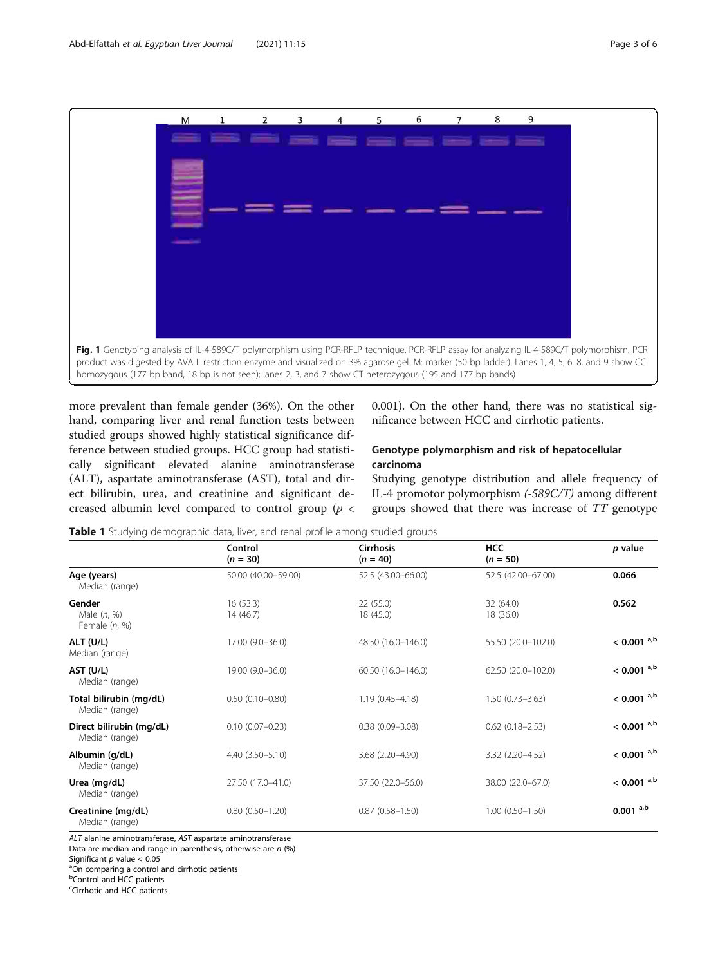<span id="page-2-0"></span>

more prevalent than female gender (36%). On the other hand, comparing liver and renal function tests between studied groups showed highly statistical significance difference between studied groups. HCC group had statistically significant elevated alanine aminotransferase (ALT), aspartate aminotransferase (AST), total and direct bilirubin, urea, and creatinine and significant decreased albumin level compared to control group ( $p <$ 

0.001). On the other hand, there was no statistical significance between HCC and cirrhotic patients.

## Genotype polymorphism and risk of hepatocellular carcinoma

Studying genotype distribution and allele frequency of IL-4 promotor polymorphism (-589C/T) among different groups showed that there was increase of TT genotype

Table 1 Studying demographic data, liver, and renal profile among studied groups

|                                            | Control<br>$(n = 30)$ | <b>Cirrhosis</b><br>$(n = 40)$ | <b>HCC</b><br>$(n = 50)$ | p value                  |
|--------------------------------------------|-----------------------|--------------------------------|--------------------------|--------------------------|
| Age (years)<br>Median (range)              | 50.00 (40.00-59.00)   | 52.5 (43.00-66.00)             | 52.5 (42.00-67.00)       | 0.066                    |
| Gender<br>Male $(n, %)$<br>Female (n, %)   | 16(53.3)<br>14 (46.7) | 22(55.0)<br>18 (45.0)          | 32 (64.0)<br>18 (36.0)   | 0.562                    |
| ALT (U/L)<br>Median (range)                | 17.00 (9.0-36.0)      | 48.50 (16.0-146.0)             | 55.50 (20.0-102.0)       | $< 0.001$ a,b            |
| AST (U/L)<br>Median (range)                | 19.00 (9.0-36.0)      | 60.50 (16.0-146.0)             | 62.50 (20.0-102.0)       | $< 0.001$ <sup>a,b</sup> |
| Total bilirubin (mg/dL)<br>Median (range)  | $0.50(0.10 - 0.80)$   | $1.19(0.45 - 4.18)$            | $1.50(0.73 - 3.63)$      | $< 0.001$ <sup>a,b</sup> |
| Direct bilirubin (mg/dL)<br>Median (range) | $0.10(0.07 - 0.23)$   | $0.38(0.09 - 3.08)$            | $0.62$ $(0.18 - 2.53)$   | $< 0.001$ a,b            |
| Albumin (g/dL)<br>Median (range)           | $4.40(3.50 - 5.10)$   | 3.68 (2.20-4.90)               | 3.32 (2.20-4.52)         | $< 0.001$ <sup>a,b</sup> |
| Urea (mg/dL)<br>Median (range)             | 27.50 (17.0-41.0)     | 37.50 (22.0-56.0)              | 38.00 (22.0-67.0)        | $< 0.001$ a,b            |
| Creatinine (mg/dL)<br>Median (range)       | $0.80(0.50 - 1.20)$   | $0.87(0.58 - 1.50)$            | $1.00(0.50 - 1.50)$      | $0.001^{a,b}$            |

ALT alanine aminotransferase, AST aspartate aminotransferase

Data are median and range in parenthesis, otherwise are  $n$  (%)

<sup>a</sup>On comparing a control and cirrhotic patients

**b**Control and HCC patients

<sup>c</sup>Cirrhotic and HCC patients

Significant  $p$  value  $< 0.05$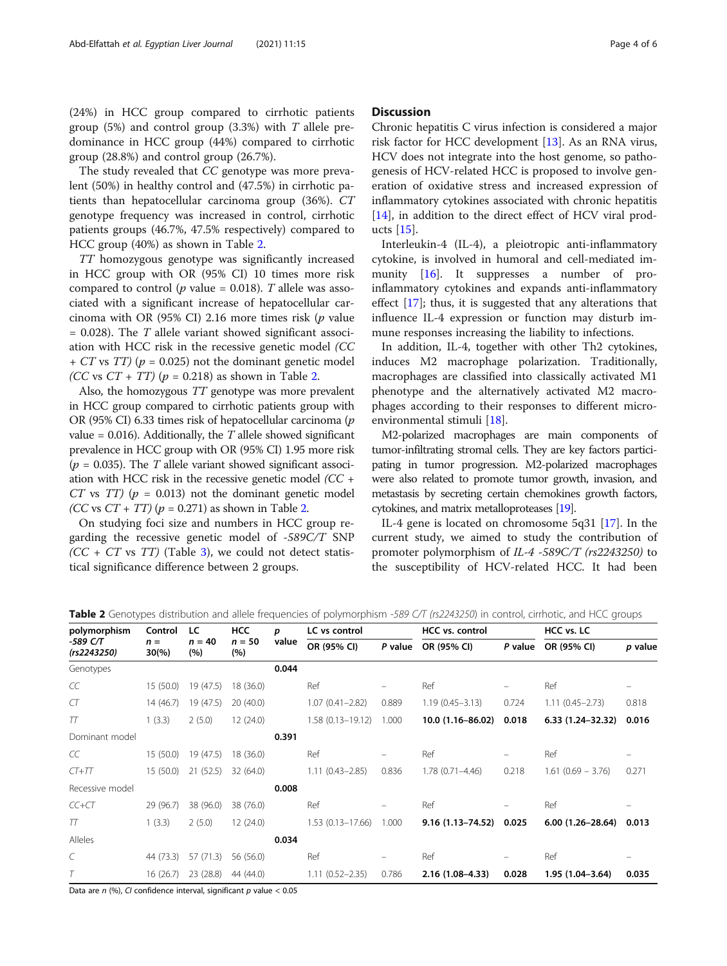(24%) in HCC group compared to cirrhotic patients group (5%) and control group (3.3%) with  $T$  allele predominance in HCC group (44%) compared to cirrhotic group (28.8%) and control group (26.7%).

The study revealed that CC genotype was more prevalent (50%) in healthy control and (47.5%) in cirrhotic patients than hepatocellular carcinoma group (36%). CT genotype frequency was increased in control, cirrhotic patients groups (46.7%, 47.5% respectively) compared to HCC group (40%) as shown in Table 2.

TT homozygous genotype was significantly increased in HCC group with OR (95% CI) 10 times more risk compared to control ( $p$  value = 0.018). T allele was associated with a significant increase of hepatocellular carcinoma with OR (95% CI) 2.16 more times risk ( $p$  value  $= 0.028$ ). The T allele variant showed significant association with HCC risk in the recessive genetic model (CC +  $CT$  vs  $TT$ ) ( $p = 0.025$ ) not the dominant genetic model (CC vs CT + TT) ( $p = 0.218$ ) as shown in Table 2.

Also, the homozygous TT genotype was more prevalent in HCC group compared to cirrhotic patients group with OR (95% CI) 6.33 times risk of hepatocellular carcinoma (p value =  $0.016$ ). Additionally, the T allele showed significant prevalence in HCC group with OR (95% CI) 1.95 more risk  $(p = 0.035)$ . The T allele variant showed significant association with HCC risk in the recessive genetic model (CC + CT vs  $TT$ ) ( $p = 0.013$ ) not the dominant genetic model (CC vs  $CT + TT$ ) ( $p = 0.271$ ) as shown in Table 2.

On studying foci size and numbers in HCC group regarding the recessive genetic model of -589C/T SNP  $(CC + CT$  vs  $TT)$  (Table [3](#page-4-0)), we could not detect statistical significance difference between 2 groups.

## **Discussion**

Chronic hepatitis C virus infection is considered a major risk factor for HCC development [[13](#page-5-0)]. As an RNA virus, HCV does not integrate into the host genome, so pathogenesis of HCV-related HCC is proposed to involve generation of oxidative stress and increased expression of inflammatory cytokines associated with chronic hepatitis [[14\]](#page-5-0), in addition to the direct effect of HCV viral products [[15](#page-5-0)].

Interleukin-4 (IL-4), a pleiotropic anti-inflammatory cytokine, is involved in humoral and cell-mediated im-munity [[16](#page-5-0)]. It suppresses a number of proinflammatory cytokines and expands anti-inflammatory effect  $[17]$  $[17]$ ; thus, it is suggested that any alterations that influence IL-4 expression or function may disturb immune responses increasing the liability to infections.

In addition, IL-4, together with other Th2 cytokines, induces M2 macrophage polarization. Traditionally, macrophages are classified into classically activated M1 phenotype and the alternatively activated M2 macrophages according to their responses to different microenvironmental stimuli [\[18\]](#page-5-0).

M2-polarized macrophages are main components of tumor-infiltrating stromal cells. They are key factors participating in tumor progression. M2-polarized macrophages were also related to promote tumor growth, invasion, and metastasis by secreting certain chemokines growth factors, cytokines, and matrix metalloproteases [\[19](#page-5-0)].

IL-4 gene is located on chromosome 5q31 [\[17\]](#page-5-0). In the current study, we aimed to study the contribution of promoter polymorphism of IL-4 -589C/T (rs2243250) to the susceptibility of HCV-related HCC. It had been

| polymorphism            | Control<br>$n =$<br>$30\%$ | LC<br>$n = 40$<br>(%) | <b>HCC</b><br>$n = 50$<br>(%) | p<br>value | LC vs control        |         | HCC vs. control      |         | HCC vs. LC           |         |
|-------------------------|----------------------------|-----------------------|-------------------------------|------------|----------------------|---------|----------------------|---------|----------------------|---------|
| -589 C/T<br>(rs2243250) |                            |                       |                               |            | OR (95% CI)          | P value | OR (95% CI)          | P value | OR (95% CI)          | p value |
| Genotypes               |                            |                       |                               | 0.044      |                      |         |                      |         |                      |         |
| CC                      | 15(50.0)                   | 19 (47.5)             | 18 (36.0)                     |            | Ref                  | -       | Ref                  |         | Ref                  | -       |
| CT                      | 14 (46.7)                  | 19 (47.5)             | 20(40.0)                      |            | $1.07(0.41 - 2.82)$  | 0.889   | $1.19(0.45 - 3.13)$  | 0.724   | $1.11(0.45 - 2.73)$  | 0.818   |
| TT                      | 1(3.3)                     | 2(5.0)                | 12 (24.0)                     |            | $1.58(0.13 - 19.12)$ | 1.000   | 10.0 (1.16-86.02)    | 0.018   | $6.33(1.24 - 32.32)$ | 0.016   |
| Dominant model          |                            |                       |                               | 0.391      |                      |         |                      |         |                      |         |
| CC                      | 15(50.0)                   | 19 (47.5)             | 18 (36.0)                     |            | Ref                  |         | Ref                  |         | Ref                  |         |
| $CT+TT$                 | 15(50.0)                   | 21(52.5)              | 32 (64.0)                     |            | $1.11(0.43 - 2.85)$  | 0.836   | $1.78(0.71 - 4.46)$  | 0.218   | $1.61(0.69 - 3.76)$  | 0.271   |
| Recessive model         |                            |                       |                               | 0.008      |                      |         |                      |         |                      |         |
| $CC+CT$                 | 29 (96.7)                  | 38 (96.0)             | 38 (76.0)                     |            | Ref                  |         | Ref                  |         | Ref                  |         |
| TT                      | 1(3.3)                     | 2(5.0)                | 12 (24.0)                     |            | $1.53(0.13 - 17.66)$ | 1.000   | $9.16(1.13 - 74.52)$ | 0.025   | $6.00(1.26 - 28.64)$ | 0.013   |
| Alleles                 |                            |                       |                               | 0.034      |                      |         |                      |         |                      |         |
| C                       | 44 (73.3)                  | 57(71.3)              | 56 (56.0)                     |            | Ref                  | -       | Ref                  |         | Ref                  |         |
| T                       | 16(26.7)                   | 23(28.8)              | 44 (44.0)                     |            | $1.11(0.52 - 2.35)$  | 0.786   | $2.16(1.08 - 4.33)$  | 0.028   | $1.95(1.04 - 3.64)$  | 0.035   |

Table 2 Genotypes distribution and allele frequencies of polymorphism -589 C/T (rs2243250) in control, cirrhotic, and HCC groups

Data are  $n$  (%), CI confidence interval, significant  $p$  value < 0.05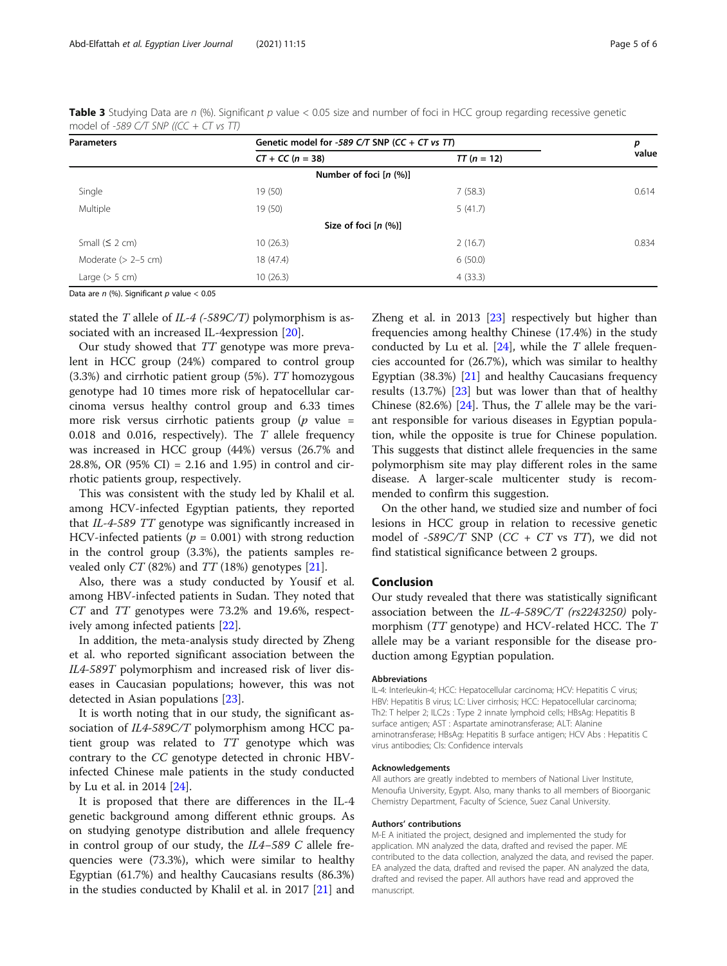| <b>Parameters</b>     | Genetic model for -589 C/T SNP (CC + CT vs TT) | р             |       |
|-----------------------|------------------------------------------------|---------------|-------|
|                       | $CT + CC (n = 38)$                             | $TT (n = 12)$ | value |
|                       | Number of foci $[n (%)]$                       |               |       |
| Single                | 19 (50)                                        | 7(58.3)       | 0.614 |
| Multiple              | 19 (50)                                        | 5(41.7)       |       |
|                       | Size of foci $[n (%)]$                         |               |       |
| Small $(5 2 cm)$      | 10(26.3)                                       | 2(16.7)       | 0.834 |
| Moderate $(> 2-5$ cm) | 18 (47.4)                                      | 6(50.0)       |       |
| Large $(> 5 cm)$      | 10(26.3)                                       | 4(33.3)       |       |

<span id="page-4-0"></span>Table 3 Studying Data are n (%). Significant p value < 0.05 size and number of foci in HCC group regarding recessive genetic model of -589 C/T SNP ((CC + CT vs TT)

Data are  $n$  (%). Significant  $p$  value < 0.05

stated the T allele of  $IL-4$  (-589C/T) polymorphism is associated with an increased IL-4expression [[20\]](#page-5-0).

Our study showed that TT genotype was more prevalent in HCC group (24%) compared to control group (3.3%) and cirrhotic patient group (5%). TT homozygous genotype had 10 times more risk of hepatocellular carcinoma versus healthy control group and 6.33 times more risk versus cirrhotic patients group ( $p$  value = 0.018 and 0.016, respectively). The T allele frequency was increased in HCC group (44%) versus (26.7% and 28.8%, OR (95% CI) = 2.16 and 1.95) in control and cirrhotic patients group, respectively.

This was consistent with the study led by Khalil et al. among HCV-infected Egyptian patients, they reported that IL-4-589 TT genotype was significantly increased in HCV-infected patients ( $p = 0.001$ ) with strong reduction in the control group (3.3%), the patients samples revealed only  $CT$  (82%) and  $TT$  (18%) genotypes [\[21](#page-5-0)].

Also, there was a study conducted by Yousif et al. among HBV-infected patients in Sudan. They noted that CT and TT genotypes were 73.2% and 19.6%, respectively among infected patients [\[22](#page-5-0)].

In addition, the meta-analysis study directed by Zheng et al. who reported significant association between the IL4-589T polymorphism and increased risk of liver diseases in Caucasian populations; however, this was not detected in Asian populations [[23\]](#page-5-0).

It is worth noting that in our study, the significant association of IL4-589C/T polymorphism among HCC patient group was related to TT genotype which was contrary to the CC genotype detected in chronic HBVinfected Chinese male patients in the study conducted by Lu et al. in 2014 [\[24\]](#page-5-0).

It is proposed that there are differences in the IL-4 genetic background among different ethnic groups. As on studying genotype distribution and allele frequency in control group of our study, the IL4−589 C allele frequencies were (73.3%), which were similar to healthy Egyptian (61.7%) and healthy Caucasians results (86.3%) in the studies conducted by Khalil et al. in 2017 [\[21](#page-5-0)] and Zheng et al. in 2013 [[23](#page-5-0)] respectively but higher than frequencies among healthy Chinese (17.4%) in the study conducted by Lu et al.  $[24]$  $[24]$ , while the T allele frequencies accounted for (26.7%), which was similar to healthy Egyptian  $(38.3\%)$  [[21\]](#page-5-0) and healthy Caucasians frequency results (13.7%) [\[23\]](#page-5-0) but was lower than that of healthy Chinese (82.6%) [[24\]](#page-5-0). Thus, the  $T$  allele may be the variant responsible for various diseases in Egyptian population, while the opposite is true for Chinese population. This suggests that distinct allele frequencies in the same polymorphism site may play different roles in the same disease. A larger-scale multicenter study is recommended to confirm this suggestion.

On the other hand, we studied size and number of foci lesions in HCC group in relation to recessive genetic model of -589C/T SNP ( $CC + CT$  vs TT), we did not find statistical significance between 2 groups.

## Conclusion

Our study revealed that there was statistically significant association between the IL-4-589C/T (rs2243250) polymorphism (TT genotype) and HCV-related HCC. The T allele may be a variant responsible for the disease production among Egyptian population.

#### Abbreviations

IL-4: Interleukin-4; HCC: Hepatocellular carcinoma; HCV: Hepatitis C virus; HBV: Hepatitis B virus; LC: Liver cirrhosis; HCC: Hepatocellular carcinoma; Th2: T helper 2; ILC2s : Type 2 innate lymphoid cells; HBsAg: Hepatitis B surface antigen; AST : Aspartate aminotransferase; ALT: Alanine aminotransferase; HBsAg: Hepatitis B surface antigen; HCV Abs : Hepatitis C virus antibodies; CIs: Confidence intervals

#### Acknowledgements

All authors are greatly indebted to members of National Liver Institute, Menoufia University, Egypt. Also, many thanks to all members of Bioorganic Chemistry Department, Faculty of Science, Suez Canal University.

#### Authors' contributions

M-E A initiated the project, designed and implemented the study for application. MN analyzed the data, drafted and revised the paper. ME contributed to the data collection, analyzed the data, and revised the paper. EA analyzed the data, drafted and revised the paper. AN analyzed the data, drafted and revised the paper. All authors have read and approved the manuscript.